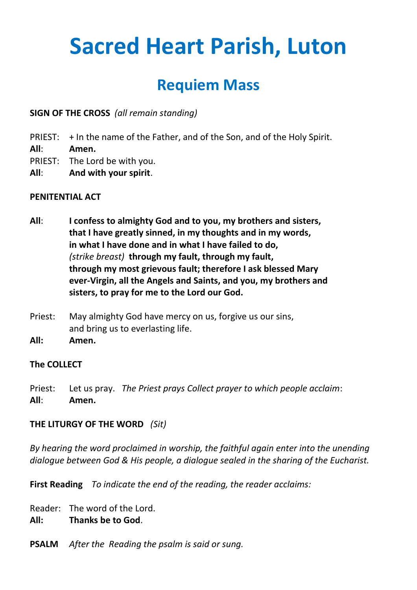# **Sacred Heart Parish, Luton**

# **Requiem Mass**

**SIGN OF THE CROSS** *(all remain standing)*

- PRIEST: + In the name of the Father, and of the Son, and of the Holy Spirit.
- **All**: **Amen.**
- PRIEST: The Lord be with you.
- **All**: **And with your spirit**.

#### **PENITENTIAL ACT**

- **All**: **I confess to almighty God and to you, my brothers and sisters, that I have greatly sinned, in my thoughts and in my words, in what I have done and in what I have failed to do,** *(strike breast)* **through my fault, through my fault, through my most grievous fault; therefore I ask blessed Mary ever-Virgin, all the Angels and Saints, and you, my brothers and sisters, to pray for me to the Lord our God.**
- Priest: May almighty God have mercy on us, forgive us our sins, and bring us to everlasting life.
- **All: Amen.**

#### **The COLLECT**

Priest: Let us pray. *The Priest prays Collect prayer to which people acclaim*: **All**: **Amen.**

#### **THE LITURGY OF THE WORD** *(Sit)*

*By hearing the word proclaimed in worship, the faithful again enter into the unending dialogue between God & His people, a dialogue sealed in the sharing of the Eucharist.*

**First Reading** *To indicate the end of the reading, the reader acclaims:*

Reader: The word of the Lord.

**All: Thanks be to God**.

**PSALM** *After the Reading the psalm is said or sung.*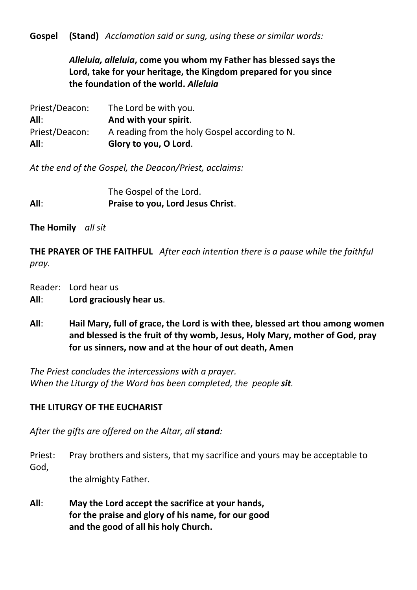**Gospel (Stand)** *Acclamation said or sung, using these or similar words:*

*Alleluia, alleluia***, come you whom my Father has blessed says the Lord, take for your heritage, the Kingdom prepared for you since the foundation of the world.** *Alleluia*

| All:           | Glory to you, O Lord.                          |
|----------------|------------------------------------------------|
| Priest/Deacon: | A reading from the holy Gospel according to N. |
| All:           | And with your spirit.                          |
| Priest/Deacon: | The Lord be with you.                          |

*At the end of the Gospel, the Deacon/Priest, acclaims:*

The Gospel of the Lord. **All**: **Praise to you, Lord Jesus Christ**.

**The Homily** *all sit*

**THE PRAYER OF THE FAITHFUL** *After each intention there is a pause while the faithful pray.*

Reader: Lord hear us

**All**: **Lord graciously hear us**.

**All**: **Hail Mary, full of grace, the Lord is with thee, blessed art thou among women and blessed is the fruit of thy womb, Jesus, Holy Mary, mother of God, pray for us sinners, now and at the hour of out death, Amen**

*The Priest concludes the intercessions with a prayer. When the Liturgy of the Word has been completed, the people sit.*

# **THE LITURGY OF THE EUCHARIST**

*After the gifts are offered on the Altar, all stand:*

Priest: Pray brothers and sisters, that my sacrifice and yours may be acceptable to God,

the almighty Father.

**All**: **May the Lord accept the sacrifice at your hands, for the praise and glory of his name, for our good and the good of all his holy Church.**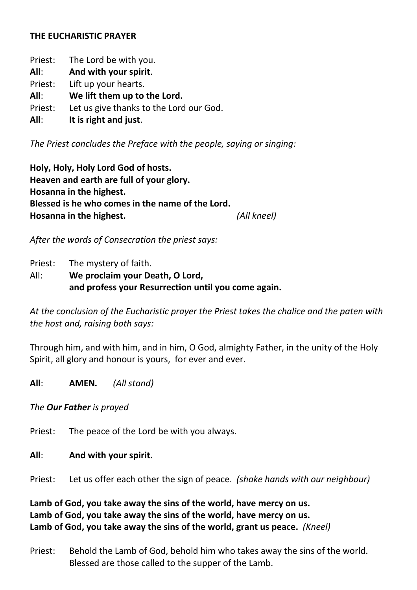#### **THE EUCHARISTIC PRAYER**

Priest: The Lord be with you. **All**: **And with your spirit**. Priest: Lift up your hearts. **All**: **We lift them up to the Lord.** Priest: Let us give thanks to the Lord our God. **All**: **It is right and just**.

*The Priest concludes the Preface with the people, saying or singing:*

**Holy, Holy, Holy Lord God of hosts. Heaven and earth are full of your glory. Hosanna in the highest. Blessed is he who comes in the name of the Lord. Hosanna in the highest.** *(All kneel)*

*After the words of Consecration the priest says:*

Priest: The mystery of faith.

All: **We proclaim your Death, O Lord, and profess your Resurrection until you come again.** 

*At the conclusion of the Eucharistic prayer the Priest takes the chalice and the paten with the host and, raising both says:*

Through him, and with him, and in him, O God, almighty Father, in the unity of the Holy Spirit, all glory and honour is yours, for ever and ever.

**All**: **AMEN***. (All stand)*

*The Our Father is prayed*

Priest: The peace of the Lord be with you always.

#### **All**: **And with your spirit.**

Priest: Let us offer each other the sign of peace. *(shake hands with our neighbour)*

**Lamb of God, you take away the sins of the world, have mercy on us. Lamb of God, you take away the sins of the world, have mercy on us. Lamb of God, you take away the sins of the world, grant us peace.** *(Kneel)*

Priest: Behold the Lamb of God, behold him who takes away the sins of the world. Blessed are those called to the supper of the Lamb.